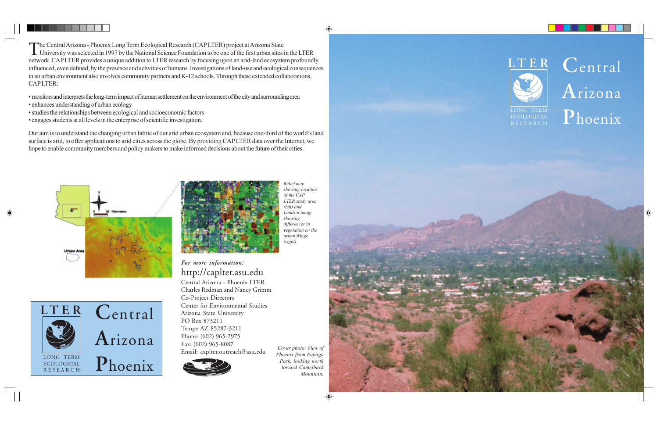*For more information:* http://caplter.asu.edu Central Arizona - Phoenix LTER Charles Redman and Nancy Grimm Co-Project Directors Center for Environmental Studies Arizona State University PO Box 873211 Tempe AZ 85287-3211 Phone: (602) 965-2975 Fax: (602) 965-8087 Email: caplter.outreach@asu.edu *Cover photo: View of Phoenix from Papago*



*Park, looking north toward Camelback Mountain.*



The Central Arizona - Phoenix Long Term Ecological Research (CAP LTER) project at Arizona State<br>University was selected in 1997 by the National Science Foundation to be one of the first urban sites in the LTER network. CAP LTER provides a unique addition to LTER research by focusing upon an arid-land ecosystem profoundly influenced, even defined, by the presence and activities of humans. Investigations of land-use and ecological consequences in an urban environment also involves community partners and K-12 schools. Through these extended collaborations, CAP LTER:

**C**entral **A**rizona LONG TERM **Phoenix** 

• monitors and interprets the long-term impact of human settlement on the environment of the city and surrounding area

- enhances understanding of urban ecology
- •studies the relationships between ecological and socioeconomic factors
- engages students at all levels in the enterprise of scientific investigation.

Our aim is to understand the changing urban fabric of our arid urban ecosystem and, becauseone-third of the world's land surface is arid, to offer applications to arid cities across the globe. By providing CAP LTER data over the Internet, we hope to enable community members and policy makers to make informed decisions about the future of their cities.



*Relief map*

*showing location of the CAP LTER study area (left) and Landsat image showing differences in vegetation on the urban fringe (right).*